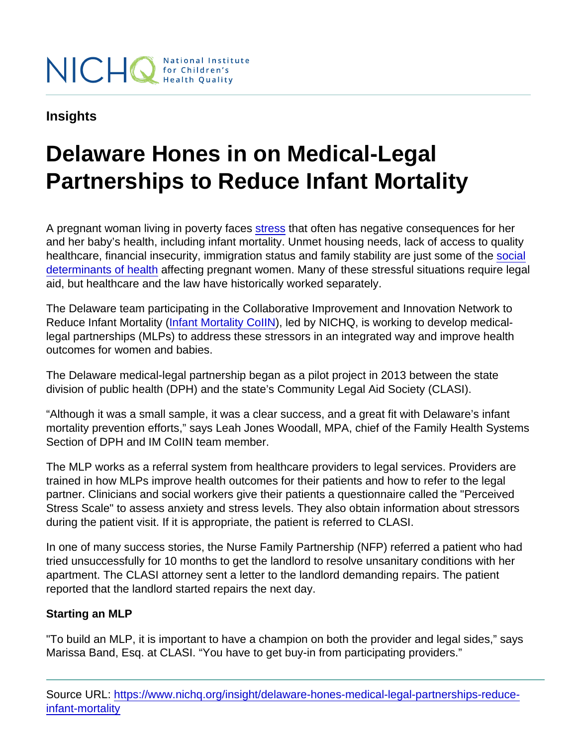## Insights

## Delaware Hones in on Medical-Legal Partnerships to Reduce Infant Mortality

A pregnant woman living in poverty faces [stress](http://www.marchofdimes.org/materials/Maternal-Stress-Issue-Brief-January2015.pdf) that often has negative consequences for her and her baby's health, including infant mortality. Unmet housing needs, lack of access to quality healthcare, financial insecurity, immigration status and family stability are just some of the [social](http://www.who.int/social_determinants/sdh_definition/en/) [determinants of health](http://www.who.int/social_determinants/sdh_definition/en/) affecting pregnant women. Many of these stressful situations require legal aid, but healthcare and the law have historically worked separately.

The Delaware team participating in the Collaborative Improvement and Innovation Network to Reduce Infant Mortality ([Infant Mortality CoIIN](https://www.nichq.org/project/collaborative-improvement-and-innovation-network-reduce-infant-mortality-im-coiin)), led by NICHQ, is working to develop medicallegal partnerships (MLPs) to address these stressors in an integrated way and improve health outcomes for women and babies.

The Delaware medical-legal partnership began as a pilot project in 2013 between the state division of public health (DPH) and the state's Community Legal Aid Society (CLASI).

"Although it was a small sample, it was a clear success, and a great fit with Delaware's infant mortality prevention efforts," says Leah Jones Woodall, MPA, chief of the Family Health Systems Section of DPH and IM CoIIN team member.

The MLP works as a referral system from healthcare providers to legal services. Providers are trained in how MLPs improve health outcomes for their patients and how to refer to the legal partner. Clinicians and social workers give their patients a questionnaire called the "Perceived Stress Scale" to assess anxiety and stress levels. They also obtain information about stressors during the patient visit. If it is appropriate, the patient is referred to CLASI.

In one of many success stories, the Nurse Family Partnership (NFP) referred a patient who had tried unsuccessfully for 10 months to get the landlord to resolve unsanitary conditions with her apartment. The CLASI attorney sent a letter to the landlord demanding repairs. The patient reported that the landlord started repairs the next day.

## Starting an MLP

"To build an MLP, it is important to have a champion on both the provider and legal sides," says Marissa Band, Esq. at CLASI. "You have to get buy-in from participating providers."

Source URL: [https://www.nichq.org/insight/delaware-hones-medical-legal-partnerships-reduce](https://www.nichq.org/insight/delaware-hones-medical-legal-partnerships-reduce-infant-mortality)[infant-mortality](https://www.nichq.org/insight/delaware-hones-medical-legal-partnerships-reduce-infant-mortality)